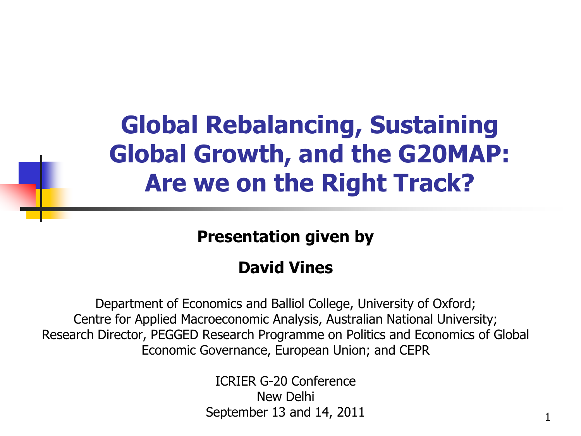## **Global Rebalancing, Sustaining Global Growth, and the G20MAP: Are we on the Right Track?**

**Presentation given by** 

### **David Vines**

Department of Economics and Balliol College, University of Oxford; Centre for Applied Macroeconomic Analysis, Australian National University; Research Director, PEGGED Research Programme on Politics and Economics of Global Economic Governance, European Union; and CEPR

> ICRIER G-20 Conference New Delhi September 13 and 14, 2011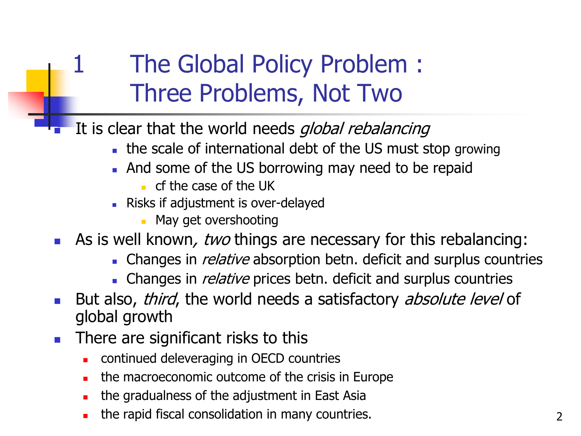## The Global Policy Problem : Three Problems, Not Two

It is clear that the world needs *global rebalancing* 

- the scale of international debt of the US must stop growing
- And some of the US borrowing may need to be repaid
	- $\blacksquare$  cf the case of the UK
- Risks if adjustment is over-delayed
	- May get overshooting
- As is well known, two things are necessary for this rebalancing:
	- Changes in *relative* absorption betn. deficit and surplus countries
	- Changes in *relative* prices betn. deficit and surplus countries
- But also, third, the world needs a satisfactory absolute level of global growth
- **There are significant risks to this** 
	- continued deleveraging in OECD countries
	- the macroeconomic outcome of the crisis in Europe
	- the gradualness of the adjustment in East Asia
	- the rapid fiscal consolidation in many countries.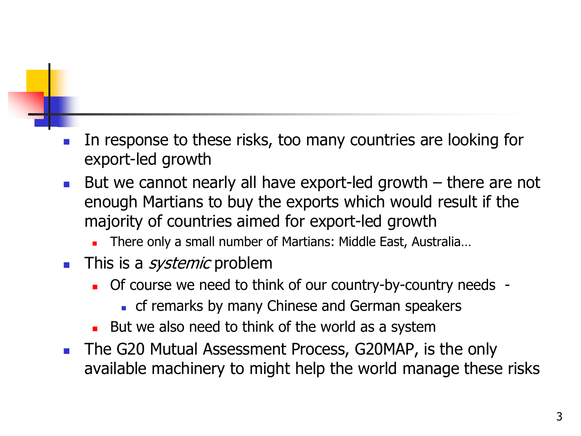- In response to these risks, too many countries are looking for export-led growth
- But we cannot nearly all have export-led growth  $-$  there are not enough Martians to buy the exports which would result if the majority of countries aimed for export-led growth
	- **There only a small number of Martians: Middle East, Australia...**
- **This is a** *systemic* problem
	- Of course we need to think of our country-by-country needs
		- **c** cf remarks by many Chinese and German speakers
	- But we also need to think of the world as a system
- **The G20 Mutual Assessment Process, G20MAP, is the only** available machinery to might help the world manage these risks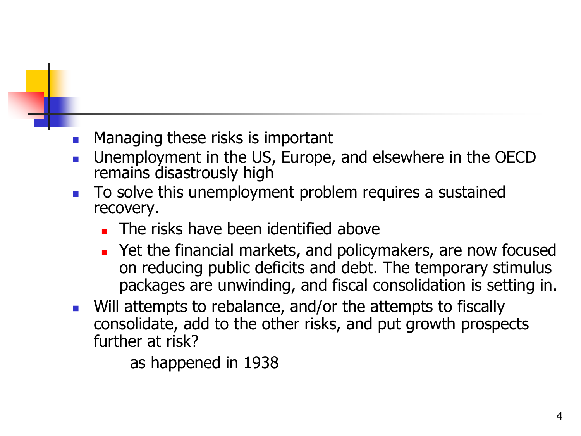#### Managing these risks is important

- Unemployment in the US, Europe, and elsewhere in the OECD remains disastrously high
- To solve this unemployment problem requires a sustained recovery.
	- **The risks have been identified above**
	- Pet the financial markets, and policymakers, are now focused on reducing public deficits and debt. The temporary stimulus packages are unwinding, and fiscal consolidation is setting in.
- **Nill attempts to rebalance, and/or the attempts to fiscally** consolidate, add to the other risks, and put growth prospects further at risk?

as happened in 1938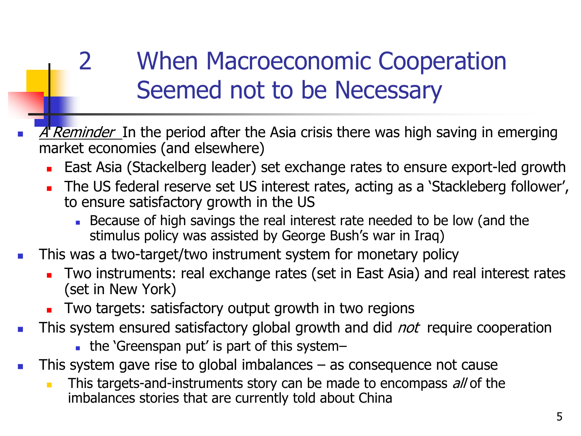## 2 When Macroeconomic Cooperation Seemed not to be Necessary

- A Reminder. In the period after the Asia crisis there was high saving in emerging market economies (and elsewhere)
	- East Asia (Stackelberg leader) set exchange rates to ensure export-led growth
	- The US federal reserve set US interest rates, acting as a 'Stackleberg follower', to ensure satisfactory growth in the US
		- Because of high savings the real interest rate needed to be low (and the stimulus policy was assisted by George Bush's war in Iraq)
- This was a two-target/two instrument system for monetary policy
	- Two instruments: real exchange rates (set in East Asia) and real interest rates (set in New York)
	- **Two targets: satisfactory output growth in two regions**
- **This system ensured satisfactory global growth and did** *not* **require cooperation** 
	- the 'Greenspan put' is part of this system–
- This system gave rise to global imbalances  $-$  as consequence not cause
	- This targets-and-instruments story can be made to encompass all of the imbalances stories that are currently told about China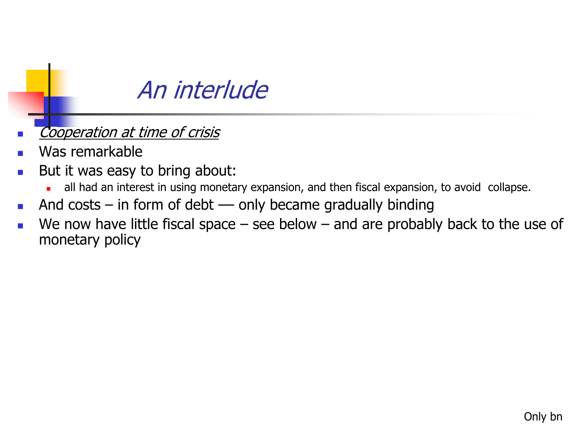### An interlude

- Cooperation at time of crisis
- Was remarkable
- **But it was easy to bring about:** 
	- all had an interest in using monetary expansion, and then fiscal expansion, to avoid collapse.
- And costs in form of debt only became gradually binding
- We now have little fiscal space  $-$  see below  $-$  and are probably back to the use of monetary policy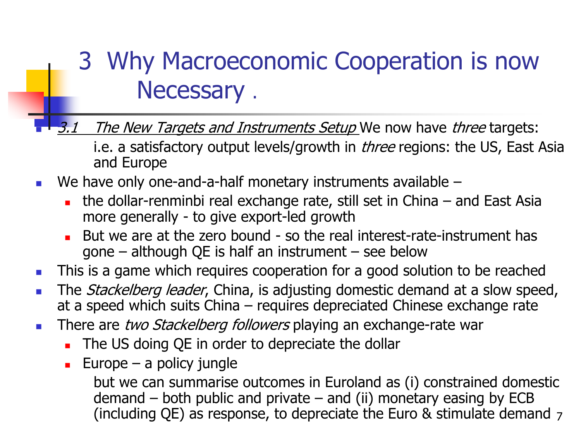### 3 Why Macroeconomic Cooperation is now Necessary .

The New Targets and Instruments Setup We now have three targets:

i.e. a satisfactory output levels/growth in *three* regions: the US, East Asia and Europe

- We have only one-and-a-half monetary instruments available
	- the dollar-renminbi real exchange rate, still set in China and East Asia more generally - to give export-led growth
	- But we are at the zero bound so the real interest-rate-instrument has gone – although QE is half an instrument – see below
- **This is a game which requires cooperation for a good solution to be reached**
- The *Stackelberg leader*, China, is adjusting domestic demand at a slow speed, at a speed which suits China – requires depreciated Chinese exchange rate
- There are two Stackelberg followers playing an exchange-rate war
	- The US doing QE in order to depreciate the dollar
	- Europe a policy jungle

but we can summarise outcomes in Euroland as (i) constrained domestic demand  $-$  both public and private  $-$  and (ii) monetary easing by ECB (including QE) as response, to depreciate the Euro & stimulate demand  $_7$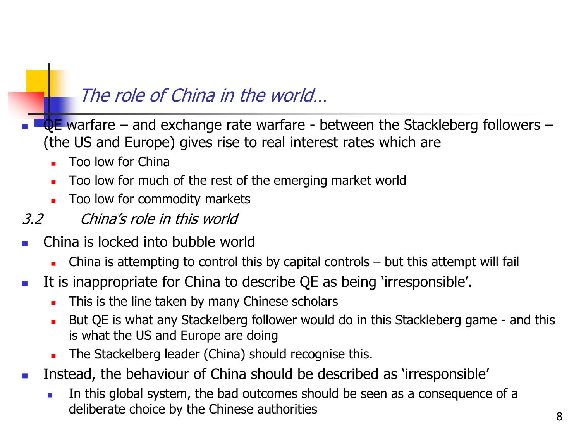### The role of China in the world…

- $QE$  warfare and exchange rate warfare between the Stackleberg followers (the US and Europe) gives rise to real interest rates which are
	- Too low for China
	- Too low for much of the rest of the emerging market world
	- Too low for commodity markets

#### 3.2 China's role in this world

- China is locked into bubble world
	- China is attempting to control this by capital controls but this attempt will fail
- It is inappropriate for China to describe QE as being 'irresponsible'.
	- This is the line taken by many Chinese scholars
	- But QE is what any Stackelberg follower would do in this Stackleberg game and this is what the US and Europe are doing
	- The Stackelberg leader (China) should recognise this.
- **Instead, the behaviour of China should be described as 'irresponsible'** 
	- In this global system, the bad outcomes should be seen as a consequence of a deliberate choice by the Chinese authorities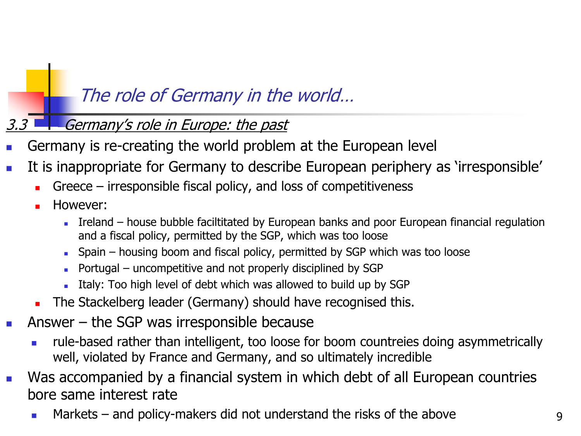### The role of Germany in the world…

#### **Germany's role in Europe: the past**

- Germany is re-creating the world problem at the European level
- It is inappropriate for Germany to describe European periphery as 'irresponsible'
	- Greece irresponsible fiscal policy, and loss of competitiveness
	- However:
		- Ireland house bubble faciltitated by European banks and poor European financial regulation and a fiscal policy, permitted by the SGP, which was too loose
		- $\blacksquare$  Spain housing boom and fiscal policy, permitted by SGP which was too loose
		- Portugal uncompetitive and not properly disciplined by SGP
		- Italy: Too high level of debt which was allowed to build up by SGP
	- The Stackelberg leader (Germany) should have recognised this.
- Answer the SGP was irresponsible because
	- rule-based rather than intelligent, too loose for boom countreies doing asymmetrically well, violated by France and Germany, and so ultimately incredible
- Was accompanied by a financial system in which debt of all European countries bore same interest rate
	- Markets and policy-makers did not understand the risks of the above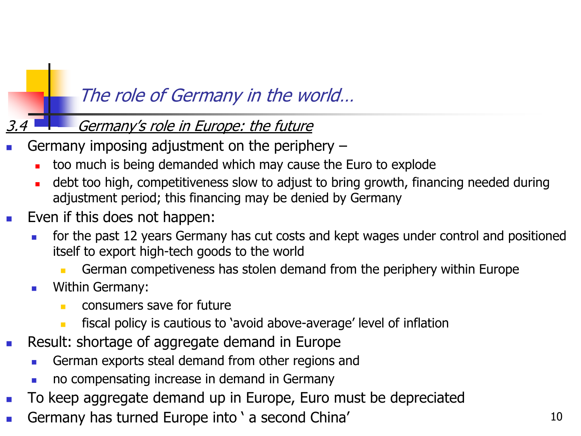### The role of Germany in the world…

#### Germany's role in Europe: the future

- Germany imposing adjustment on the periphery
	- too much is being demanded which may cause the Euro to explode
	- debt too high, competitiveness slow to adjust to bring growth, financing needed during adjustment period; this financing may be denied by Germany
- Even if this does not happen:
	- for the past 12 years Germany has cut costs and kept wages under control and positioned itself to export high-tech goods to the world
		- German competiveness has stolen demand from the periphery within Europe
	- Within Germany:
		- **CONSUMERS Save for future** 
			- fiscal policy is cautious to 'avoid above-average' level of inflation
- **Result: shortage of aggregate demand in Europe** 
	- German exports steal demand from other regions and
	- no compensating increase in demand in Germany
- **To keep aggregate demand up in Europe, Euro must be depreciated**
- Germany has turned Europe into ' a second China'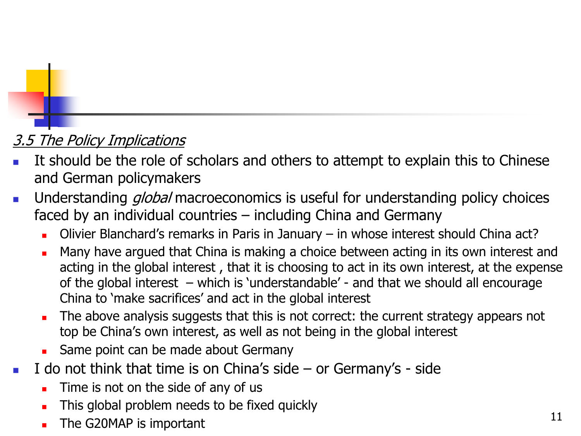#### **3.5 The Policy Implications**

- It should be the role of scholars and others to attempt to explain this to Chinese and German policymakers
- Understanding *global* macroeconomics is useful for understanding policy choices faced by an individual countries – including China and Germany
	- Olivier Blanchard's remarks in Paris in January in whose interest should China act?
	- Many have argued that China is making a choice between acting in its own interest and acting in the global interest , that it is choosing to act in its own interest, at the expense of the global interest – which is 'understandable' - and that we should all encourage China to 'make sacrifices' and act in the global interest
	- The above analysis suggests that this is not correct: the current strategy appears not top be China's own interest, as well as not being in the global interest
	- Same point can be made about Germany
- I do not think that time is on China's side or Germany's side
	- Time is not on the side of any of us
	- This global problem needs to be fixed quickly
	- The G20MAP is important 11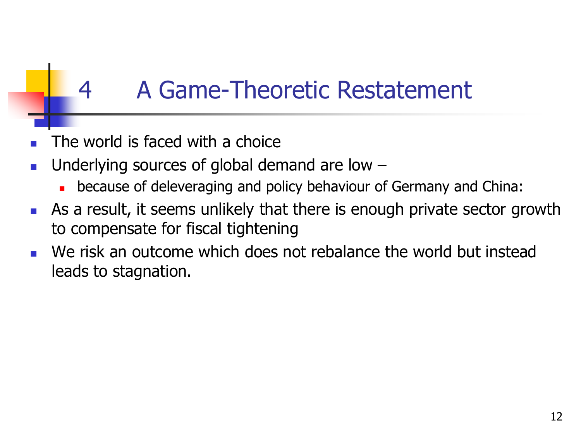## 4 A Game-Theoretic Restatement

- The world is faced with a choice
- Underlying sources of global demand are low
	- **EXEDENT** because of deleveraging and policy behaviour of Germany and China:
- As a result, it seems unlikely that there is enough private sector growth to compensate for fiscal tightening
- We risk an outcome which does not rebalance the world but instead leads to stagnation.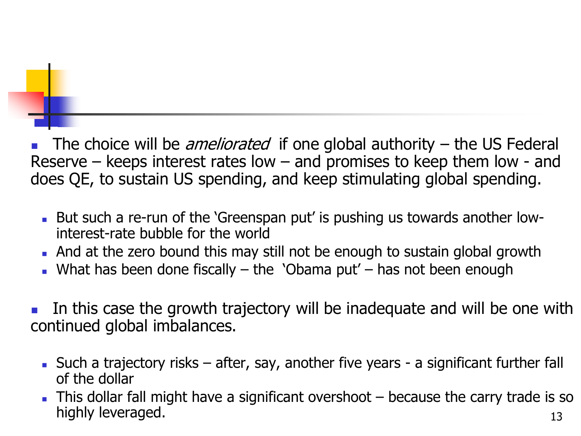The choice will be *ameliorated* if one global authority  $-$  the US Federal Reserve – keeps interest rates low – and promises to keep them low - and does QE, to sustain US spending, and keep stimulating global spending.

- But such a re-run of the 'Greenspan put' is pushing us towards another lowinterest-rate bubble for the world
- And at the zero bound this may still not be enough to sustain global growth
- What has been done fiscally  $-$  the 'Obama put'  $-$  has not been enough
- In this case the growth trajectory will be inadequate and will be one with continued global imbalances.
	- Such a trajectory risks after, say, another five years a significant further fall of the dollar
	- 13 This dollar fall might have a significant overshoot – because the carry trade is so highly leveraged.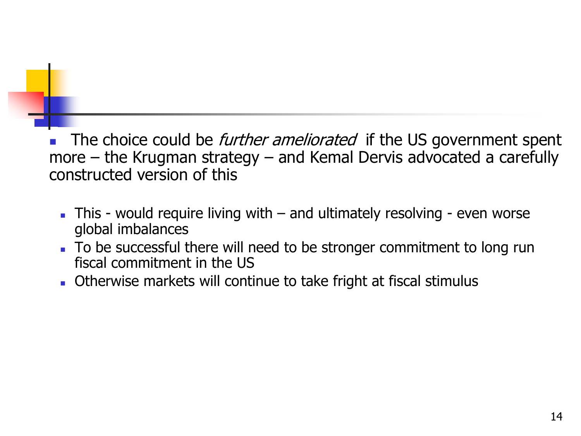The choice could be *further ameliorated* if the US government spent more – the Krugman strategy – and Kemal Dervis advocated a carefully constructed version of this

- $\blacksquare$  This would require living with  $-$  and ultimately resolving even worse global imbalances
- To be successful there will need to be stronger commitment to long run fiscal commitment in the US
- Otherwise markets will continue to take fright at fiscal stimulus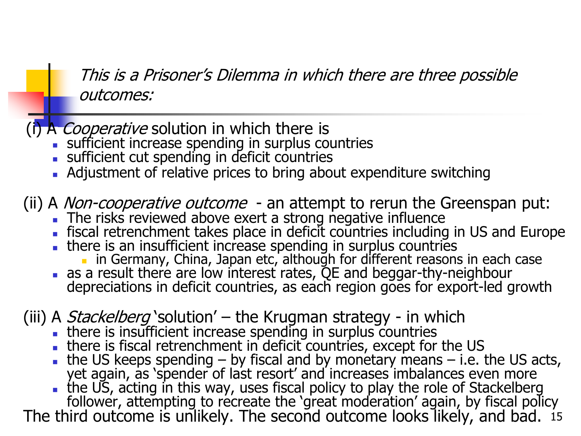This is a Prisoner's Dilemma in which there are three possible outcomes:

(i) A *Cooperative* solution in which there is

- sufficient increase spending in surplus countries
- sufficient cut spending in deficit countries
- Adjustment of relative prices to bring about expenditure switching

(ii) A Non-cooperative outcome - an attempt to rerun the Greenspan put:

- The risks reviewed above exert a strong negative influence
- fiscal retrenchment takes place in deficit countries including in US and Europe
- . there is an insufficient increase spending in surplus countries
	- **in Germany, China, Japan etc, although for different reasons in each case**
- as a result there are low interest rates, QE and beggar-thy-neighbour depreciations in deficit countries, as each region goes for export-led growth

(iii) A *Stackelberg* `solution' – the Krugman strategy - in which

- **there is insufficient increase spending in surplus countries**
- there is fiscal retrenchment in deficit countries, except for the US
- the US keeps spending  $-$  by fiscal and by monetary means  $-$  i.e. the US acts, yet again, as 'spender of last resort' and increases imbalances even more

 the US, acting in this way, uses fiscal policy to play the role of Stackelberg follower, attempting to recreate the 'great moderation' again, by fiscal policy

The third outcome is unlikely. The second outcome looks likely, and bad. is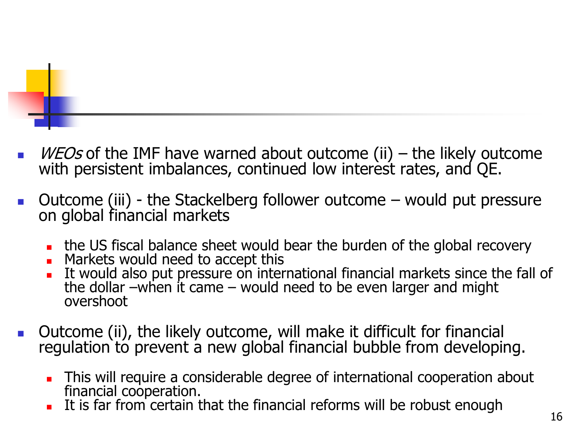

- *WEOs* of the IMF have warned about outcome (ii) the likely outcome with persistent imbalances, continued low interest rates, and QE.
- $\blacksquare$  Outcome (iii) the Stackelberg follower outcome  $\blacksquare$  would put pressure on global financial markets
	- the US fiscal balance sheet would bear the burden of the global recovery
	- Markets would need to accept this
	- It would also put pressure on international financial markets since the fall of the dollar –when it came – would need to be even larger and might overshoot
- **Dutcome (ii), the likely outcome, will make it difficult for financial** regulation to prevent a new global financial bubble from developing.
	- **This will require a considerable degree of international cooperation about** financial cooperation.
	- It is far from certain that the financial reforms will be robust enough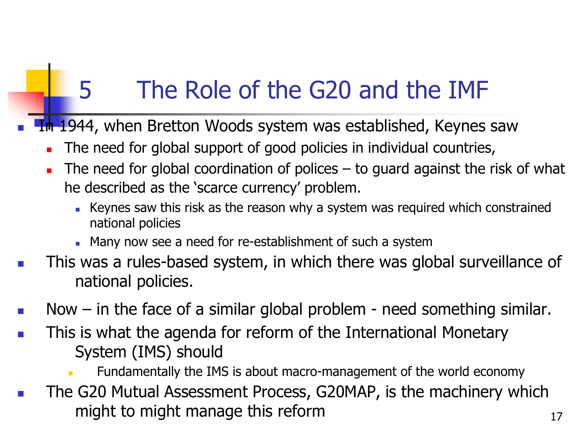# 5 The Role of the G20 and the IMF

- In 1944, when Bretton Woods system was established, Keynes saw
	- The need for global support of good policies in individual countries,
	- The need for global coordination of polices to guard against the risk of what he described as the 'scarce currency' problem.
		- Keynes saw this risk as the reason why a system was required which constrained national policies
		- **Many now see a need for re-establishment of such a system**
- This was a rules-based system, in which there was global surveillance of national policies.
- Now in the face of a similar global problem need something similar.
- **This is what the agenda for reform of the International Monetary** System (IMS) should
	- Fundamentally the IMS is about macro-management of the world economy
- **The G20 Mutual Assessment Process, G20MAP, is the machinery which** might to might manage this reform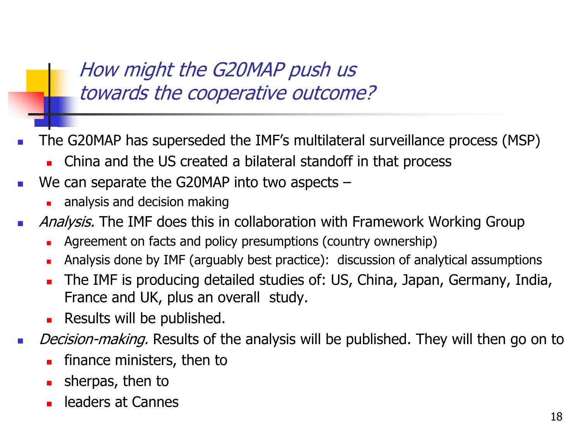How might the G20MAP push us towards the cooperative outcome?

- The G20MAP has superseded the IMF's multilateral surveillance process (MSP)
	- **EXEC** China and the US created a bilateral standoff in that process
- $\blacksquare$  We can separate the G20MAP into two aspects  $\blacksquare$ 
	- **a** analysis and decision making
- **Analysis.** The IMF does this in collaboration with Framework Working Group
	- Agreement on facts and policy presumptions (country ownership)
	- Analysis done by IMF (arguably best practice): discussion of analytical assumptions
	- The IMF is producing detailed studies of: US, China, Japan, Germany, India, France and UK, plus an overall study.
	- **Results will be published.**
- Decision-making. Results of the analysis will be published. They will then go on to
	- finance ministers, then to
	- sherpas, then to
	- leaders at Cannes